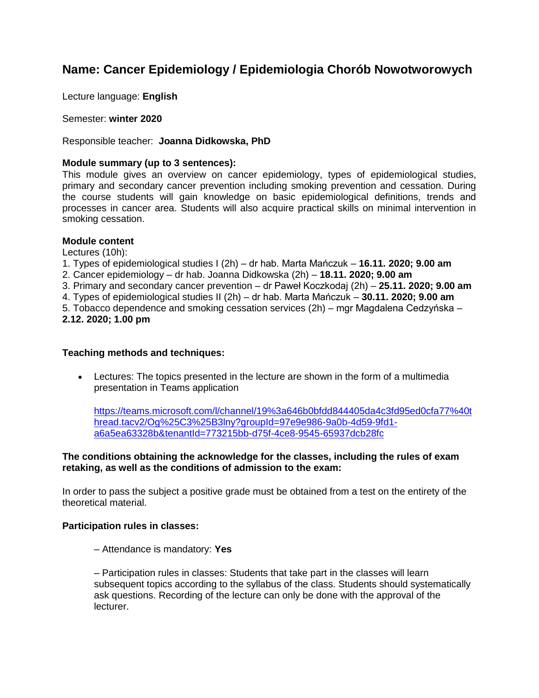# **Name: Cancer Epidemiology / Epidemiologia Chorób Nowotworowych**

Lecture language: **English**

Semester: **winter 2020**

Responsible teacher: **Joanna Didkowska, PhD**

## **Module summary (up to 3 sentences):**

This module gives an overview on cancer epidemiology, types of epidemiological studies, primary and secondary cancer prevention including smoking prevention and cessation. During the course students will gain knowledge on basic epidemiological definitions, trends and processes in cancer area. Students will also acquire practical skills on minimal intervention in smoking cessation.

## **Module content**

Lectures (10h):

1. Types of epidemiological studies I (2h) – dr hab. Marta Mańczuk – **16.11. 2020; 9.00 am**

- 2. Cancer epidemiology dr hab. Joanna Didkowska (2h) **18.11. 2020; 9.00 am**
- 3. Primary and secondary cancer prevention dr Paweł Koczkodaj (2h) **25.11. 2020; 9.00 am**
- 4. Types of epidemiological studies II (2h) dr hab. Marta Mańczuk **30.11. 2020; 9.00 am**

5. Tobacco dependence and smoking cessation services (2h) – mgr Magdalena Cedzyńska –

**2.12. 2020; 1.00 pm**

## **Teaching methods and techniques:**

 Lectures: The topics presented in the lecture are shown in the form of a multimedia presentation in Teams application

[https://teams.microsoft.com/l/channel/19%3a646b0bfdd844405da4c3fd95ed0cfa77%40t](https://teams.microsoft.com/l/channel/19%3a646b0bfdd844405da4c3fd95ed0cfa77%40thread.tacv2/Og%25C3%25B3lny?groupId=97e9e986-9a0b-4d59-9fd1-a6a5ea63328b&tenantId=773215bb-d75f-4ce8-9545-65937dcb28fc) [hread.tacv2/Og%25C3%25B3lny?groupId=97e9e986-9a0b-4d59-9fd1](https://teams.microsoft.com/l/channel/19%3a646b0bfdd844405da4c3fd95ed0cfa77%40thread.tacv2/Og%25C3%25B3lny?groupId=97e9e986-9a0b-4d59-9fd1-a6a5ea63328b&tenantId=773215bb-d75f-4ce8-9545-65937dcb28fc) [a6a5ea63328b&tenantId=773215bb-d75f-4ce8-9545-65937dcb28fc](https://teams.microsoft.com/l/channel/19%3a646b0bfdd844405da4c3fd95ed0cfa77%40thread.tacv2/Og%25C3%25B3lny?groupId=97e9e986-9a0b-4d59-9fd1-a6a5ea63328b&tenantId=773215bb-d75f-4ce8-9545-65937dcb28fc)

## **The conditions obtaining the acknowledge for the classes, including the rules of exam retaking, as well as the conditions of admission to the exam:**

In order to pass the subject a positive grade must be obtained from a test on the entirety of the theoretical material.

### **Participation rules in classes:**

– Attendance is mandatory: **Yes** 

– Participation rules in classes: Students that take part in the classes will learn subsequent topics according to the syllabus of the class. Students should systematically ask questions. Recording of the lecture can only be done with the approval of the lecturer.